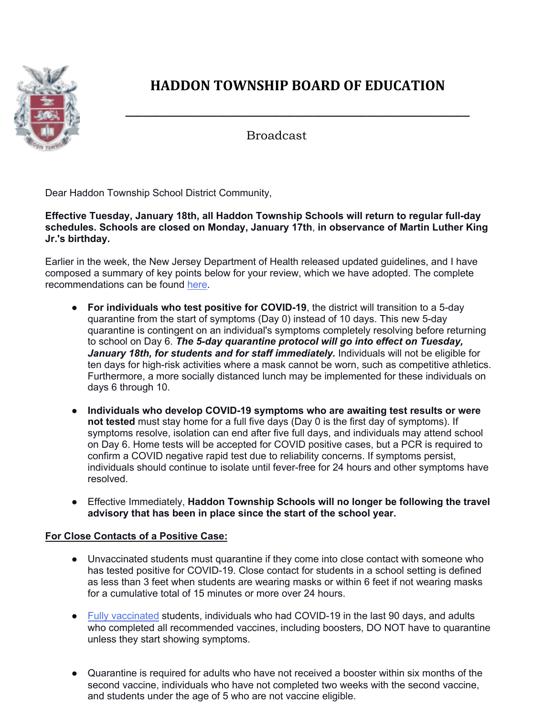

## **HADDON TOWNSHIP ROARD OF EDUCATION**

**\_\_\_\_\_\_\_\_\_\_\_\_\_\_\_\_\_\_\_\_\_\_\_\_\_\_\_\_\_\_\_\_\_\_\_\_\_\_\_\_\_\_\_\_\_\_\_\_\_\_\_\_\_\_\_\_\_**

Broadcast

Dear Haddon Township School District Community,

**Effective Tuesday, January 18th, all Haddon Township Schools will return to regular full-day schedules. Schools are closed on Monday, January 17th**, **in observance of Martin Luther King Jr.'s birthday.** 

Earlier in the week, the New Jersey Department of Health released updated guidelines, and I have composed a summary of key points below for your review, which we have adopted. The complete recommendations can be found here.

- **For individuals who test positive for COVID-19**, the district will transition to a 5-day quarantine from the start of symptoms (Day 0) instead of 10 days. This new 5-day quarantine is contingent on an individual's symptoms completely resolving before returning to school on Day 6. *The 5-day quarantine protocol will go into effect on Tuesday, January 18th, for students and for staff immediately.* Individuals will not be eligible for ten days for high-risk activities where a mask cannot be worn, such as competitive athletics. Furthermore, a more socially distanced lunch may be implemented for these individuals on days 6 through 10.
- **Individuals who develop COVID-19 symptoms who are awaiting test results or were not tested** must stay home for a full five days (Day 0 is the first day of symptoms). If symptoms resolve, isolation can end after five full days, and individuals may attend school on Day 6. Home tests will be accepted for COVID positive cases, but a PCR is required to confirm a COVID negative rapid test due to reliability concerns. If symptoms persist, individuals should continue to isolate until fever-free for 24 hours and other symptoms have resolved.
- Effective Immediately, **Haddon Township Schools will no longer be following the travel advisory that has been in place since the start of the school year.**

## **For Close Contacts of a Positive Case:**

- Unvaccinated students must quarantine if they come into close contact with someone who has tested positive for COVID-19. Close contact for students in a school setting is defined as less than 3 feet when students are wearing masks or within 6 feet if not wearing masks for a cumulative total of 15 minutes or more over 24 hours.
- Fully vaccinated students, individuals who had COVID-19 in the last 90 days, and adults who completed all recommended vaccines, including boosters, DO NOT have to quarantine unless they start showing symptoms.
- Quarantine is required for adults who have not received a booster within six months of the second vaccine, individuals who have not completed two weeks with the second vaccine, and students under the age of 5 who are not vaccine eligible.